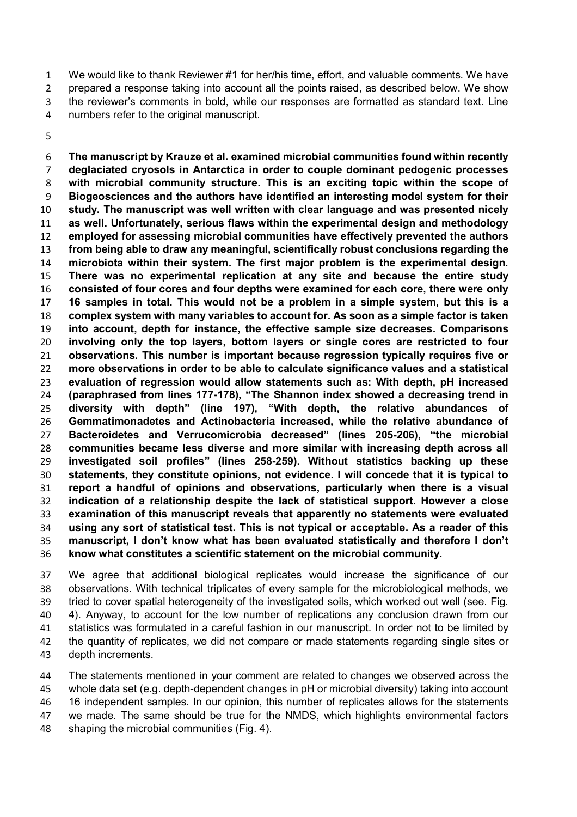We would like to thank Reviewer #1 for her/his time, effort, and valuable comments. We have prepared a response taking into account all the points raised, as described below. We show the reviewer's comments in bold, while our responses are formatted as standard text. Line numbers refer to the original manuscript.

**The manuscript by Krauze et al. examined microbial communities found within recently deglaciated cryosols in Antarctica in order to couple dominant pedogenic processes with microbial community structure. This is an exciting topic within the scope of Biogeosciences and the authors have identified an interesting model system for their study. The manuscript was well written with clear language and was presented nicely as well. Unfortunately, serious flaws within the experimental design and methodology employed for assessing microbial communities have effectively prevented the authors from being able to draw any meaningful, scientifically robust conclusions regarding the microbiota within their system. The first major problem is the experimental design. There was no experimental replication at any site and because the entire study consisted of four cores and four depths were examined for each core, there were only 16 samples in total. This would not be a problem in a simple system, but this is a complex system with many variables to account for. As soon as a simple factor is taken into account, depth for instance, the effective sample size decreases. Comparisons involving only the top layers, bottom layers or single cores are restricted to four observations. This number is important because regression typically requires five or more observations in order to be able to calculate significance values and a statistical evaluation of regression would allow statements such as: With depth, pH increased (paraphrased from lines 177-178), "The Shannon index showed a decreasing trend in diversity with depth" (line 197), "With depth, the relative abundances of Gemmatimonadetes and Actinobacteria increased, while the relative abundance of Bacteroidetes and Verrucomicrobia decreased" (lines 205-206), "the microbial communities became less diverse and more similar with increasing depth across all investigated soil profiles" (lines 258-259). Without statistics backing up these statements, they constitute opinions, not evidence. I will concede that it is typical to report a handful of opinions and observations, particularly when there is a visual indication of a relationship despite the lack of statistical support. However a close examination of this manuscript reveals that apparently no statements were evaluated using any sort of statistical test. This is not typical or acceptable. As a reader of this manuscript, I don't know what has been evaluated statistically and therefore I don't know what constitutes a scientific statement on the microbial community.** 

We agree that additional biological replicates would increase the significance of our observations. With technical triplicates of every sample for the microbiological methods, we tried to cover spatial heterogeneity of the investigated soils, which worked out well (see. Fig. 4). Anyway, to account for the low number of replications any conclusion drawn from our statistics was formulated in a careful fashion in our manuscript. In order not to be limited by 42 the quantity of replicates, we did not compare or made statements regarding single sites or depth increments.

The statements mentioned in your comment are related to changes we observed across the whole data set (e.g. depth-dependent changes in pH or microbial diversity) taking into account 16 independent samples. In our opinion, this number of replicates allows for the statements we made. The same should be true for the NMDS, which highlights environmental factors shaping the microbial communities (Fig. 4).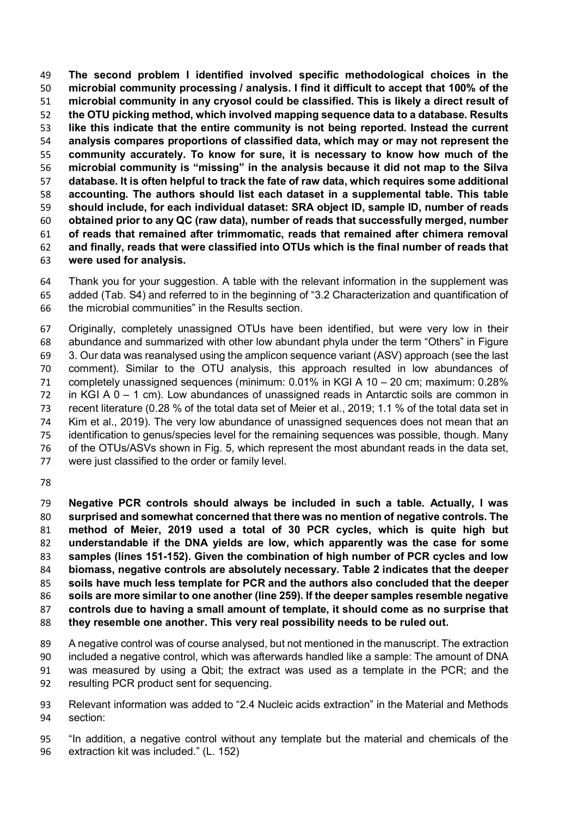**The second problem I identified involved specific methodological choices in the microbial community processing / analysis. I find it difficult to accept that 100% of the microbial community in any cryosol could be classified. This is likely a direct result of the OTU picking method, which involved mapping sequence data to a database. Results like this indicate that the entire community is not being reported. Instead the current analysis compares proportions of classified data, which may or may not represent the community accurately. To know for sure, it is necessary to know how much of the microbial community is "missing" in the analysis because it did not map to the Silva database. It is often helpful to track the fate of raw data, which requires some additional accounting. The authors should list each dataset in a supplemental table. This table should include, for each individual dataset: SRA object ID, sample ID, number of reads obtained prior to any QC (raw data), number of reads that successfully merged, number of reads that remained after trimmomatic, reads that remained after chimera removal and finally, reads that were classified into OTUs which is the final number of reads that were used for analysis.** 

Thank you for your suggestion. A table with the relevant information in the supplement was added (Tab. S4) and referred to in the beginning of "3.2 Characterization and quantification of the microbial communities" in the Results section.

Originally, completely unassigned OTUs have been identified, but were very low in their abundance and summarized with other low abundant phyla under the term "Others" in Figure 3. Our data was reanalysed using the amplicon sequence variant (ASV) approach (see the last comment). Similar to the OTU analysis, this approach resulted in low abundances of completely unassigned sequences (minimum: 0.01% in KGI A 10 – 20 cm; maximum: 0.28% in KGI A 0 – 1 cm). Low abundances of unassigned reads in Antarctic soils are common in recent literature (0.28 % of the total data set of Meier et al., 2019; 1.1 % of the total data set in Kim et al., 2019). The very low abundance of unassigned sequences does not mean that an identification to genus/species level for the remaining sequences was possible, though. Many of the OTUs/ASVs shown in Fig. 5, which represent the most abundant reads in the data set, were just classified to the order or family level.

**Negative PCR controls should always be included in such a table. Actually, I was surprised and somewhat concerned that there was no mention of negative controls. The method of Meier, 2019 used a total of 30 PCR cycles, which is quite high but understandable if the DNA yields are low, which apparently was the case for some samples (lines 151-152). Given the combination of high number of PCR cycles and low biomass, negative controls are absolutely necessary. Table 2 indicates that the deeper soils have much less template for PCR and the authors also concluded that the deeper soils are more similar to one another (line 259). If the deeper samples resemble negative controls due to having a small amount of template, it should come as no surprise that they resemble one another. This very real possibility needs to be ruled out.** 

A negative control was of course analysed, but not mentioned in the manuscript. The extraction included a negative control, which was afterwards handled like a sample: The amount of DNA was measured by using a Qbit; the extract was used as a template in the PCR; and the resulting PCR product sent for sequencing.

Relevant information was added to "2.4 Nucleic acids extraction" in the Material and Methods section:

"In addition, a negative control without any template but the material and chemicals of the extraction kit was included." (L. 152)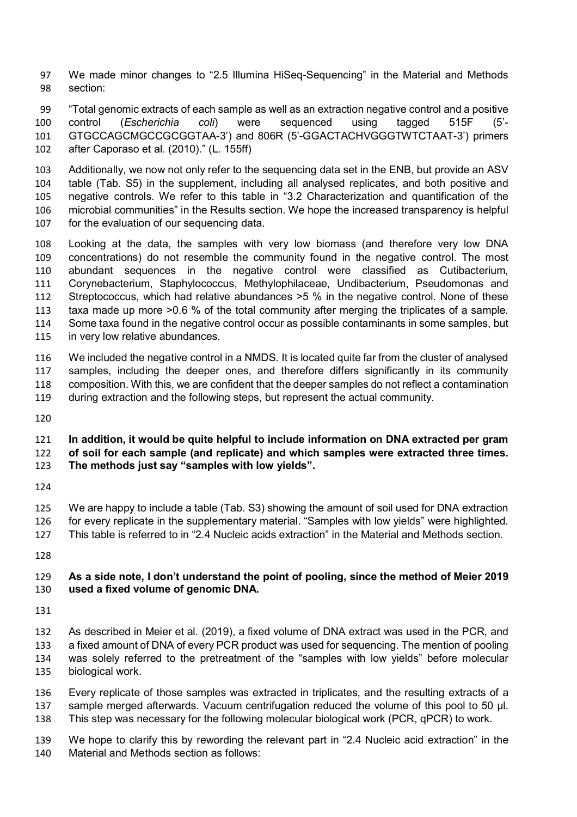We made minor changes to "2.5 Illumina HiSeq-Sequencing" in the Material and Methods section:

"Total genomic extracts of each sample as well as an extraction negative control and a positive control (*Escherichia coli*) were sequenced using tagged 515F (5'- GTGCCAGCMGCCGCGGTAA-3') and 806R (5'-GGACTACHVGGGTWTCTAAT-3') primers after Caporaso et al. (2010)." (L. 155ff)

Additionally, we now not only refer to the sequencing data set in the ENB, but provide an ASV table (Tab. S5) in the supplement, including all analysed replicates, and both positive and negative controls. We refer to this table in "3.2 Characterization and quantification of the microbial communities" in the Results section. We hope the increased transparency is helpful for the evaluation of our sequencing data.

Looking at the data, the samples with very low biomass (and therefore very low DNA concentrations) do not resemble the community found in the negative control. The most abundant sequences in the negative control were classified as Cutibacterium, Corynebacterium, Staphylococcus, Methylophilaceae, Undibacterium, Pseudomonas and Streptococcus, which had relative abundances >5 % in the negative control. None of these taxa made up more >0.6 % of the total community after merging the triplicates of a sample. Some taxa found in the negative control occur as possible contaminants in some samples, but in very low relative abundances.

We included the negative control in a NMDS. It is located quite far from the cluster of analysed samples, including the deeper ones, and therefore differs significantly in its community composition. With this, we are confident that the deeper samples do not reflect a contamination during extraction and the following steps, but represent the actual community.

## **In addition, it would be quite helpful to include information on DNA extracted per gram of soil for each sample (and replicate) and which samples were extracted three times.**

**The methods just say "samples with low yields".** 

We are happy to include a table (Tab. S3) showing the amount of soil used for DNA extraction for every replicate in the supplementary material. "Samples with low yields" were highlighted.

This table is referred to in "2.4 Nucleic acids extraction" in the Material and Methods section.

## **As a side note, I don't understand the point of pooling, since the method of Meier 2019 used a fixed volume of genomic DNA.**

As described in Meier et al. (2019), a fixed volume of DNA extract was used in the PCR, and a fixed amount of DNA of every PCR product was used for sequencing. The mention of pooling was solely referred to the pretreatment of the "samples with low yields" before molecular biological work.

Every replicate of those samples was extracted in triplicates, and the resulting extracts of a 137 sample merged afterwards. Vacuum centrifugation reduced the volume of this pool to 50 µl. This step was necessary for the following molecular biological work (PCR, qPCR) to work.

We hope to clarify this by rewording the relevant part in "2.4 Nucleic acid extraction" in the Material and Methods section as follows: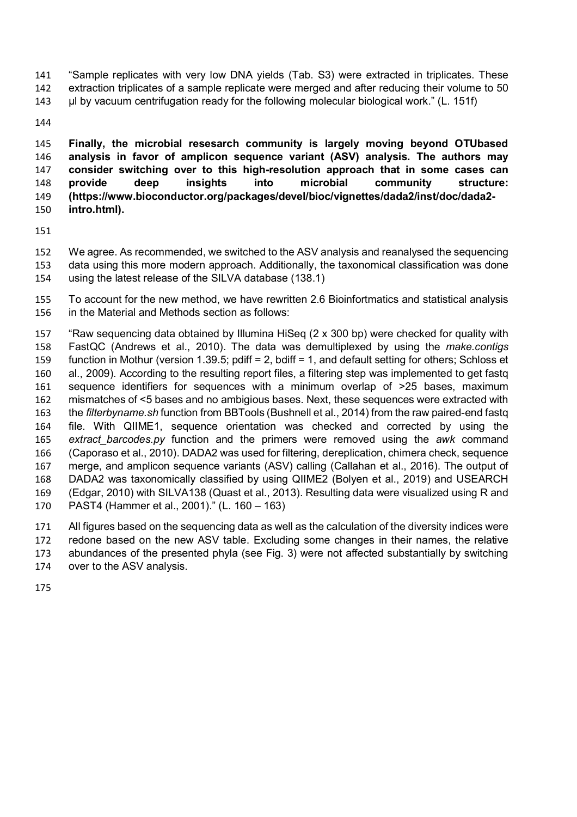"Sample replicates with very low DNA yields (Tab. S3) were extracted in triplicates. These extraction triplicates of a sample replicate were merged and after reducing their volume to 50

µl by vacuum centrifugation ready for the following molecular biological work." (L. 151f)

**Finally, the microbial resesarch community is largely moving beyond OTUbased analysis in favor of amplicon sequence variant (ASV) analysis. The authors may consider switching over to this high-resolution approach that in some cases can provide deep insights into microbial community structure: (https://www.bioconductor.org/packages/devel/bioc/vignettes/dada2/inst/doc/dada2- intro.html).** 

We agree. As recommended, we switched to the ASV analysis and reanalysed the sequencing data using this more modern approach. Additionally, the taxonomical classification was done using the latest release of the SILVA database (138.1)

To account for the new method, we have rewritten 2.6 Bioinfortmatics and statistical analysis in the Material and Methods section as follows:

"Raw sequencing data obtained by Illumina HiSeq (2 x 300 bp) were checked for quality with FastQC (Andrews et al., 2010). The data was demultiplexed by using the *make.contigs* function in Mothur (version 1.39.5; pdiff = 2, bdiff = 1, and default setting for others; Schloss et al., 2009). According to the resulting report files, a filtering step was implemented to get fastq sequence identifiers for sequences with a minimum overlap of >25 bases, maximum mismatches of <5 bases and no ambigious bases. Next, these sequences were extracted with the *filterbyname.sh* function from BBTools (Bushnell et al., 2014) from the raw paired-end fastq file. With QIIME1, sequence orientation was checked and corrected by using the *extract\_barcodes.py* function and the primers were removed using the *awk* command (Caporaso et al., 2010). DADA2 was used for filtering, dereplication, chimera check, sequence merge, and amplicon sequence variants (ASV) calling (Callahan et al., 2016). The output of DADA2 was taxonomically classified by using QIIME2 (Bolyen et al., 2019) and USEARCH (Edgar, 2010) with SILVA138 (Quast et al., 2013). Resulting data were visualized using R and PAST4 (Hammer et al., 2001)." (L. 160 – 163)

All figures based on the sequencing data as well as the calculation of the diversity indices were redone based on the new ASV table. Excluding some changes in their names, the relative abundances of the presented phyla (see Fig. 3) were not affected substantially by switching

over to the ASV analysis.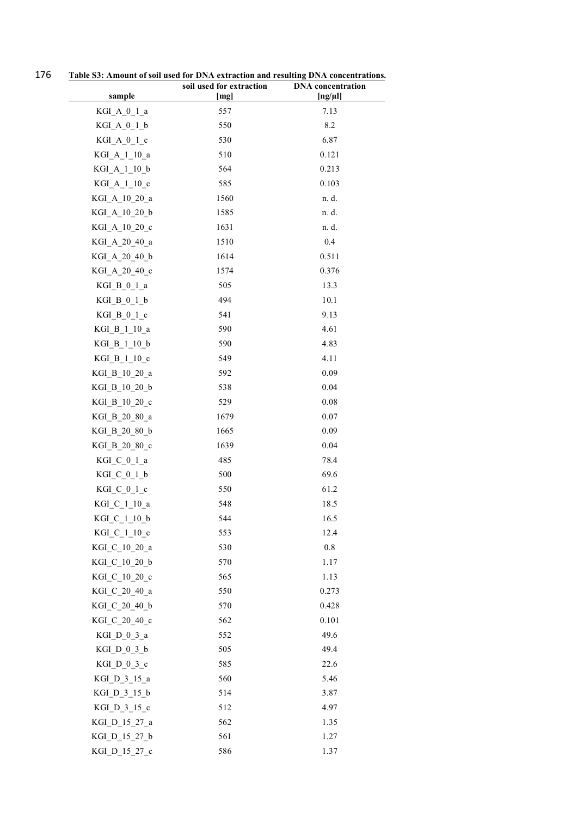176 **Table S3: Amount of soil used for DNA extraction and resulting DNA concentrations.** 

|                                | soil used for extraction | <b>DNA</b> concentration |
|--------------------------------|--------------------------|--------------------------|
| sample                         | [mg]                     | $[ng/\mu]$               |
| $KGI_A_0_1_a$                  | 557                      | 7.13                     |
| KGI A 0 1 b                    | 550                      | 8.2                      |
| $KGI_A_0_1_c$                  | 530                      | 6.87                     |
| $KGI_A_1_10_a$                 | 510                      | 0.121                    |
| KGI_A_1_10_b                   | 564                      | 0.213                    |
| KGI_A_1_10_c                   | 585                      | 0.103                    |
| KGI_A_10_20_a                  | 1560                     | n. d.                    |
| KGI A 10 20 b                  | 1585                     | n. d.                    |
| KGI A 10 20 c                  | 1631                     | n. d.                    |
| KGI A 20 40 a                  | 1510                     | 0.4                      |
| KGI A 20 40 b                  | 1614                     | 0.511                    |
| KGI A 20 40 c                  | 1574                     | 0.376                    |
| KGI B 0 1 a                    | 505                      | 13.3                     |
| KGI B 0 1 b                    | 494                      | 10.1                     |
| KGI B 0 1 c                    | 541                      | 9.13                     |
| KGI B 1 10 a                   | 590                      | 4.61                     |
| KGI_B_1_10_b                   | 590                      | 4.83                     |
| KGI B 1 10 c                   | 549                      | 4.11                     |
| KGI_B_10_20_a<br>KGI_B_10_20_b | 592<br>538               | 0.09<br>0.04             |
|                                | 529                      | 0.08                     |
| KGI_B_10_20_c<br>KGI_B_20_80_a | 1679                     | 0.07                     |
| KGI_B_20_80_b                  | 1665                     | 0.09                     |
| KGI_B_20_80_c                  | 1639                     | 0.04                     |
| $KGI_C_0_1_a$                  | 485                      | 78.4                     |
| KGI C 0 1 b                    | 500                      | 69.6                     |
| KGI C 0 1 c                    | 550                      | 61.2                     |
| KGI C 1 10 a                   | 548                      | 18.5                     |
| KGI_C_1_10_b                   | 544                      | 16.5                     |
| KGI C 1 10 c                   | 553                      | 12.4                     |
| KGI_C_10_20_a                  | 530                      | 0.8                      |
| KGI_C_10_20_b                  | 570                      | 1.17                     |
| KGI C 10 20 c                  | 565                      | 1.13                     |
| KGI C 20 40 a                  | 550                      | 0.273                    |
| KGI C 20 40 b                  | 570                      | 0.428                    |
| KGI C 20 40 c                  | 562                      | 0.101                    |
| KGI D 0 3 a                    | 552                      | 49.6                     |
| KGI D 0 3 b                    | 505                      | 49.4                     |
| KGI D 0 3 c                    | 585                      | 22.6                     |
| KGI_D_3_15_a                   | 560                      | 5.46                     |
| KGI D 3 15 b                   | 514                      | 3.87                     |
| KGI D 3 15 c                   | 512                      | 4.97                     |
| KGI D 15 27 a                  | 562                      | 1.35                     |
| KGI_D_15_27_b                  | 561                      | 1.27                     |
| KGI D 15 27 c                  | 586                      | 1.37                     |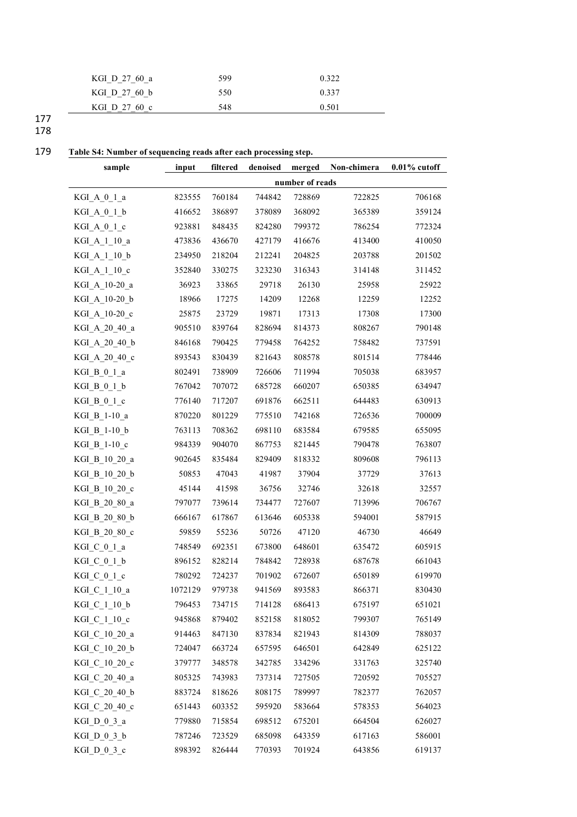| KGI D 27 60 a | 599 | 0.322 |
|---------------|-----|-------|
| KGI D 27 60 b | 550 | 0.337 |
| KGI D 27 60 c | 548 | 0.501 |
|               |     |       |

177 178

## 179 **Table S4: Number of sequencing reads after each processing step.**

| sample         | input           | filtered | denoised | merged | Non-chimera | $0.01\%$ cutoff |
|----------------|-----------------|----------|----------|--------|-------------|-----------------|
|                | number of reads |          |          |        |             |                 |
| KGI A 0 1 a    | 823555          | 760184   | 744842   | 728869 | 722825      | 706168          |
| $KGI_A_0_1_b$  | 416652          | 386897   | 378089   | 368092 | 365389      | 359124          |
| KGI A 0 1 c    | 923881          | 848435   | 824280   | 799372 | 786254      | 772324          |
| KGI_A_1_10_a   | 473836          | 436670   | 427179   | 416676 | 413400      | 410050          |
| KGI A 1 10 b   | 234950          | 218204   | 212241   | 204825 | 203788      | 201502          |
| KGI A 1 10 c   | 352840          | 330275   | 323230   | 316343 | 314148      | 311452          |
| KGI A 10-20 a  | 36923           | 33865    | 29718    | 26130  | 25958       | 25922           |
| KGI_A_10-20_b  | 18966           | 17275    | 14209    | 12268  | 12259       | 12252           |
| KGI A 10-20 c  | 25875           | 23729    | 19871    | 17313  | 17308       | 17300           |
| KGI_A_20_40_a  | 905510          | 839764   | 828694   | 814373 | 808267      | 790148          |
| KGI A 20 40 b  | 846168          | 790425   | 779458   | 764252 | 758482      | 737591          |
| KGI_A_20_40_c  | 893543          | 830439   | 821643   | 808578 | 801514      | 778446          |
| KGI B 0 1 a    | 802491          | 738909   | 726606   | 711994 | 705038      | 683957          |
| $KGI_B_0_1_b$  | 767042          | 707072   | 685728   | 660207 | 650385      | 634947          |
| KGI B 0 1 c    | 776140          | 717207   | 691876   | 662511 | 644483      | 630913          |
| KGI_B_1-10_a   | 870220          | 801229   | 775510   | 742168 | 726536      | 700009          |
| KGI B 1-10 b   | 763113          | 708362   | 698110   | 683584 | 679585      | 655095          |
| $KGI_B_1-10_c$ | 984339          | 904070   | 867753   | 821445 | 790478      | 763807          |
| KGI B 10 20 a  | 902645          | 835484   | 829409   | 818332 | 809608      | 796113          |
| KGI_B_10_20_b  | 50853           | 47043    | 41987    | 37904  | 37729       | 37613           |
| KGI B 10 20 c  | 45144           | 41598    | 36756    | 32746  | 32618       | 32557           |
| KGI_B_20_80_a  | 797077          | 739614   | 734477   | 727607 | 713996      | 706767          |
| KGI B 20 80 b  | 666167          | 617867   | 613646   | 605338 | 594001      | 587915          |
| KGI B 20 80 c  | 59859           | 55236    | 50726    | 47120  | 46730       | 46649           |
| $KGI_C_0_1_a$  | 748549          | 692351   | 673800   | 648601 | 635472      | 605915          |
| $KGI_C_0_1_b$  | 896152          | 828214   | 784842   | 728938 | 687678      | 661043          |
| $KGI_C_0_1 c$  | 780292          | 724237   | 701902   | 672607 | 650189      | 619970          |
| KGI_C_1_10_a   | 1072129         | 979738   | 941569   | 893583 | 866371      | 830430          |
| KGI_C_1_10_b   | 796453          | 734715   | 714128   | 686413 | 675197      | 651021          |
| KGI_C_1_10_c   | 945868          | 879402   | 852158   | 818052 | 799307      | 765149          |
| KGI C 10 20 a  | 914463          | 847130   | 837834   | 821943 | 814309      | 788037          |
| KGI_C_10_20_b  | 724047          | 663724   | 657595   | 646501 | 642849      | 625122          |
| KGI_C_10_20_c  | 379777          | 348578   | 342785   | 334296 | 331763      | 325740          |
| KGI C 20 40 a  | 805325          | 743983   | 737314   | 727505 | 720592      | 705527          |
| KGI C 20 40 b  | 883724          | 818626   | 808175   | 789997 | 782377      | 762057          |
| KGI C 20 40 c  | 651443          | 603352   | 595920   | 583664 | 578353      | 564023          |
| KGI D 0 3 a    | 779880          | 715854   | 698512   | 675201 | 664504      | 626027          |
| KGI D 0 3 b    | 787246          | 723529   | 685098   | 643359 | 617163      | 586001          |
| KGI $D_0_3_c$  | 898392          | 826444   | 770393   | 701924 | 643856      | 619137          |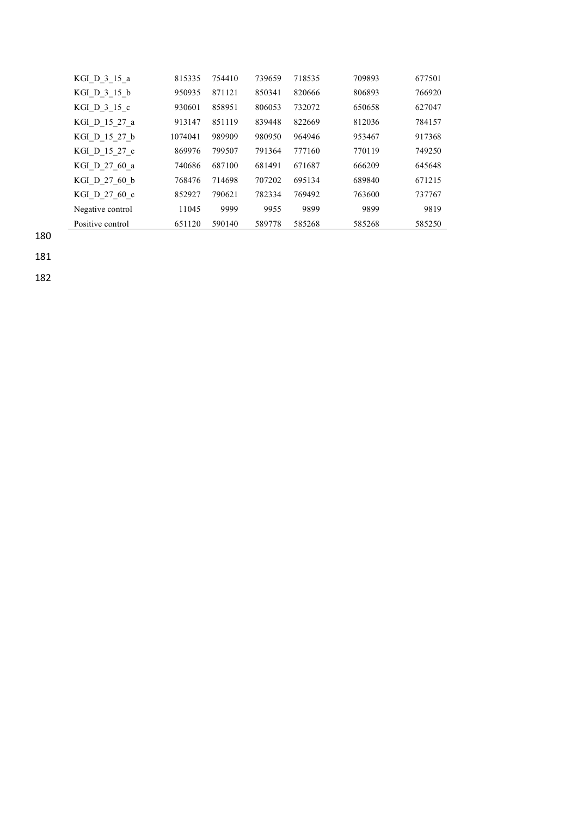| KGI D 3 15 a     | 815335  | 754410 | 739659 | 718535 | 709893 | 677501 |
|------------------|---------|--------|--------|--------|--------|--------|
| KGI D 3 15 b     | 950935  | 871121 | 850341 | 820666 | 806893 | 766920 |
| KGI D 3 15 c     | 930601  | 858951 | 806053 | 732072 | 650658 | 627047 |
| KGI D 15 27 a    | 913147  | 851119 | 839448 | 822669 | 812036 | 784157 |
| KGI D 15 27 b    | 1074041 | 989909 | 980950 | 964946 | 953467 | 917368 |
| KGI D 15 27 c    | 869976  | 799507 | 791364 | 777160 | 770119 | 749250 |
| KGI D 27 60 a    | 740686  | 687100 | 681491 | 671687 | 666209 | 645648 |
| KGI D 27 60 b    | 768476  | 714698 | 707202 | 695134 | 689840 | 671215 |
| KGI D 27 60 c    | 852927  | 790621 | 782334 | 769492 | 763600 | 737767 |
| Negative control | 11045   | 9999   | 9955   | 9899   | 9899   | 9819   |
| Positive control | 651120  | 590140 | 589778 | 585268 | 585268 | 585250 |

180

181

182